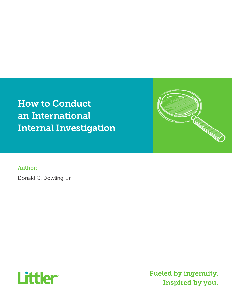How to Conduct an International Internal Investigation

Author:

Donald C. Dowling, Jr.



Fueled by ingenuity. Inspired by you.

**Reduction of the Common Street**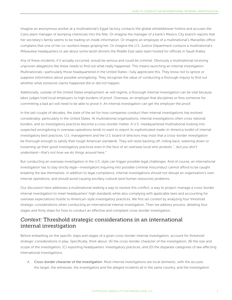Imagine an anonymous worker at a multinational's Egypt factory contacts the global whistleblower hotline and accuses the Cairo plant manager of dumping chemicals into the Nile. Or imagine the manager of a bank's Mexico City branch reports that her secretary's family seems to be trading on inside information. Or imagine an employee of a multinational's Marseilles office complains that one of her co-workers keeps groping her. Or imagine the U.S. Justice Department contacts a multinational's Milwaukee headquarters to ask about some lavish dinners the Middle East sales team hosted for officials in Saudi Arabia.

Any of these incidents, if it actually occurred, would be serious and could be criminal. Obviously a multinational receiving unproven allegations like these needs to find out what really happened. This means launching an internal investigation. Multinationals—particularly those headquartered in the United States—fully appreciate this. They know not to ignore or suppress information about possible wrongdoing. They recognize the value of conducting a thorough inquiry to find out whether what someone claims happened did or did not happen.

Additionally, outside of the United States employment-at-will regime, a thorough internal investigation can be vital because labor judges hold local employers to high burdens of proof. Overseas, an employer that disciplines or fires someone for committing a bad act will need to be able to prove it. An internal investigation can get the employer the proof.

In the last couple of decades, the state of the art for how companies conduct their internal investigations has evolved considerably, particularly in the United States. At multinational organizations, internal investigations often cross national borders, and so investigatory practices become a *cross-border* matter. A U.S.-headquartered multinational looking into suspected wrongdoing in overseas operations tends to want to export its sophisticated made-in-America toolkit of internal investigatory best practices. U.S. management and the U.S. board of directors may insist that a cross-border investigation be thorough enough to satisfy their tough American standards. They will resist backing off, rolling back, watering down or loosening up their good investigatory practices even in the face of an overseas local who protests "*…but you don't understand—that's not how we do things around here."* 

But conducting an overseas investigation in the U.S. style can trigger possible legal challenges. And of course, an international investigation has to stay strictly legal—investigators inquiring into possible criminal misconduct cannot afford to be caught breaking the law themselves. In addition to legal compliance, internal investigations should not disrupt an organization's own internal operations, and should avoid causing ancillary cultural (and human resources) problems.

Our discussion here addresses a multinational seeking a way to resolve this conflict, a way to project-manage a cross-border internal investigation to meet headquarters' high standards while also complying with applicable laws and accounting for overseas expectations hostile to American-style investigatory practices. We first set *context* by analyzing four threshold strategic considerations when conducting an international internal investigation. Then we address *process*, detailing four stages and thirty steps for how to conduct an effective and compliant cross-border investigation.

# *Context:* Threshold strategic considerations in an international internal investigation

Before embarking on the specific steps and stages of a given cross-border internal investigation, account for threshold strategic considerations in play. Specifically, think about: (A) the cross-border character of the investigation; (B) the size and scope of the investigation; (C) exporting headquarters' investigatory practices; and (D) the disparate categories of law affecting international investigations.

A. *Cross-border character of the investigation.* Most internal investigations are local domestic, with the accuser, the target, the witnesses, the investigators and the alleged incidents all in the same country, and the investigation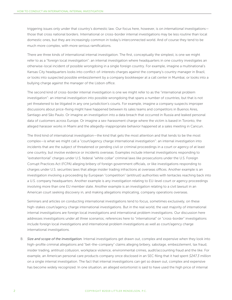triggering issues only under that country's domestic law. Our focus here, however, is on *international* investigations those that cross national borders. International or cross-border internal investigations may be less routine than local domestic ones, but they are increasingly common in today's interconnected world. And of course they tend to be much more complex, with more serious ramifications.

There are three kinds of international internal investigation. The first, conceptually the simplest, is one we might refer to as a "foreign local investigation": an internal investigation where headquarters in one country investigates an otherwise-local incident of possible wrongdoing in a single foreign country. For example, imagine a multinational's Kansas City headquarters looks into conflict-of-interests charges against the company's country manager in Brazil, or looks into suspected possible embezzlement by a company bookkeeper at a call center in Mumbai, or looks into a bullying charge against the manager of the Lisbon office.

The second kind of cross-border internal investigation is one we might refer to as the "international problem investigation": an internal investigation into possible wrongdoing that spans a number of countries, but that is not yet threatened to be litigated in any one jurisdiction's courts. For example, imagine a company suspects improper discussions about price-fixing might have happened between its sales teams and competitors in Buenos Aires, Santiago and São Paulo. Or imagine an investigation into a data breach that occurred in Russia and leaked personal data of customers across Europe. Or imagine a sex-harassment charge where the victim is based in Toronto, the alleged harasser works in Miami and the allegedly-inappropriate behavior happened at a sales meeting in Cancun.

The third kind of international investigation—the kind that gets the most attention and that tends to be the most complex—is what we might call a "court/agency charge international investigation": an internal investigation into incidents that are the subject of threatened or pending civil or criminal proceedings in a court or agency of at least one country, but involve evidence or incidents overseas. Examples include internal investigations responding to "extraterritorial" charges under U.S. federal "white collar" criminal laws like prosecutions under the U.S. Foreign Corrupt Practices Act (FCPA) alleging bribery of foreign government officials, or like investigations responding to charges under U.S. securities laws that allege insider trading infractions at overseas offices. Another example is an investigation involving a proceeding by European "competition" (antitrust) authorities with tentacles reaching back into a U.S. company headquarters. Another example is any investigation relating to EU-level court or agency proceedings involving more than one EU member state. Another example is an investigation relating to a civil lawsuit in an American court seeking discovery in, and making allegations implicating, company operations overseas.

Seminars and articles on conducting international investigations tend to focus, sometimes exclusively, on these high-stakes court/agency charge international investigations. But in the real world, the vast majority of international internal investigations are foreign local investigations and international problem investigations. Our discussion here addresses investigations under *all three* scenarios; references here to "international" or "cross-border" investigations include foreign local investigations and international problem investigations *as well as* court/agency charge international investigations.

B. *Size and scope of the investigation.* Internal investigations get drawn out, complex and expensive when they look into high-profile criminal allegations and "bet-the-company" claims alleging bribery, sabotage, embezzlement, tax fraud, insider trading, antitrust collusion, workplace violence, environmental crimes, audit/accounting fraud and the like. For example, an American personal care products company once disclosed in an SEC filing that it had spent *\$247.3 million*  on a single internal investigation. The fact that internal investigations can get so drawn out, complex and expensive has become widely recognized. In one situation, an alleged extortionist is said to have used the high price of internal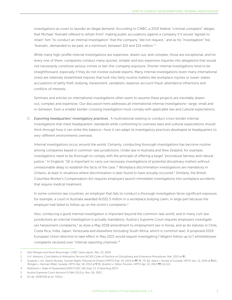investigations as cover to launder an illegal demand: According to CNBC, a 2019 federal "criminal complaint" alleges that Michael "Avenatti offered to refrain from" making public accusations against a company if it would "agre[e] to retain" him "to conduct an internal investigation" that the company "did not request," and as his "investigation" fee, "Avenatti…demanded to be paid, at a minimum, between \$15 and \$25 million."1

While many high-profile internal investigations are expensive, drawn out, and complex, those are exceptional, and for every one of them, companies conduct many quicker, simpler and less expensive inquiries into allegations that would not necessarily constitute serious crimes or bet-the-company exposure. Shorter internal investigations tend to be straightforward, especially if they do not involve outside experts. Many internal investigations (even many *international* ones) are relatively streamlined inquires that look into fairly routine matters like workplace injuries or lower-stakes accusations of petty theft, bullying, harassment, vandalism, expense-account fraud, attendance infractions and conflicts of interests.

Seminars and articles on international investigations often seem to assume these projects are inevitably drawn out, complex and expensive. Our discussion here addresses *all* international internal investigations—large, small and in-between. Even a smaller border-crossing investigation must comply with applicable law and cultural expectations.

C. *Exporting headquarters' investigatory practices.* A multinational seeking to conduct cross-border internal investigations that meet headquarters' standards while conforming to overseas laws and cultural expectations should think through how it can strike this balance—how it can adapt its investigatory practices developed at headquarters to very-different environments overseas.

Internal investigations occur around the world. Certainly, conducting thorough investigations has become routine among companies based in common-law jurisdictions. Under law in Australia and New Zealand, for example, investigations need to be thorough to comply with the principle of offering a target "procedural fairness and natural justice." In England, "[i]t is important to carry out necessary investigations of potential disciplinary matters without unreasonable delay to establish the facts of the case."<sup>2</sup> Workplace discrimination investigations are mandatory in Ontario, at least in situations where discrimination is later found to have actually occurred.<sup>3</sup> Similarly, the British Columbia Worker's Compensation Act requires employers launch immediate investigations into workplace accidents that require medical treatment.

In some common law countries, an employer that fails to conduct a thorough investigation faces significant exposure; for example, a court in Australia awarded AUS\$1.5 million in a workplace bullying claim, in large part because the employer had failed to follow up on the victim's complaints.<sup>4</sup>

Also, conducing a good internal investigation is important beyond the common-law world, and in many civil-law jurisdictions an internal investigation is actually *mandatory*. Austria's Supreme Court requires employers investigate sex harassment complaints,<sup>5</sup> as does a May 2018 amendment to employment law in Korea, and as do statutes in Chile, Costa Rica, India, Japan, Venezuela and elsewhere (including South Africa, which is common law). A proposed 2019 European Union directive to take effect in May 2021 would require investigating ("diligent follow up to") whistleblower complaints received over "internal reporting channels."6

<sup>1</sup> Dan Mangan and Kevin Breuninger, *CNBC* news report, Mar. 25, 2019.

<sup>2</sup> U.K. Advisory, Conciliation & Arbitration Service [ACAS] *Code of Practice on Disciplinary and Grievance Procedures*, Mar. 2015 at ¶5.

<sup>3</sup> *Scaduto v. Ins. Search Bureau*, Human Rights Tribunal of Ontario [HRTO] Feb. 24, 2014 at ¶¶ 78, 79, 82; *Sears v. Honda of Canada*, HRTO Jan. 13, 2014 at ¶161; *Morgan v. Herman Miller Canada*, HRTO Apr. 18, 2013 at ¶ 95; *Ibrahim v. Hilton Toronto*, HRTO Apr. 22, 2013 ¶¶ 111,113.

<sup>4</sup> *Robinson v. State of Queensland* [2017] QSC 165 (Sup. Ct. Q'land Aug 2017).

<sup>5</sup> Austria Supreme Court decision 9 ObA 131/11x, Nov. 26, 2012.

<sup>6</sup> EU dir. 2018/218 at art. 5(1)(c).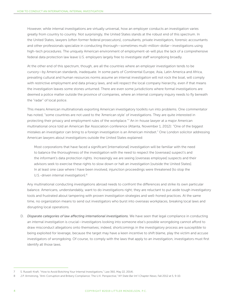However, while internal investigations are virtually universal, how an employer conducts an investigation varies greatly from country to country. Not surprisingly, the United States stands at the robust end of this spectrum. In the United States, lawyers (often former federal prosecutors), consultants, private investigators, forensic accountants and other professionals specialize in conducting thorough—sometimes multi-million-dollar—investigations using high-tech procedures. The uniquely American environment of employment-at-will plus the lack of a comprehensive federal data protection law leave U.S. employers largely free to investigate staff wrongdoing broadly.

At the other end of this spectrum, though, are all the countries where an employer investigation tends to be cursory—by American standards, inadequate. In some parts of Continental Europe, Asia, Latin America and Africa, prevailing cultural and human resources norms assume an internal investigation will not rock the boat, will comply with restrictive employment and data privacy laws, and will respect the local company hierarchy, even if that means the investigation leaves some stones unturned. There are even some jurisdictions where formal investigations are deemed a police matter outside the province of companies, where an internal company inquiry needs to fly beneath the "radar" of local police.

This means American multinationals exporting American investigatory toolkits run into problems. One commentator has noted, "some countries are not used to the 'American style' of investigations. They are quite interested in protecting their privacy and employment rules of the workplace."7 An in-house lawyer at a major American multinational once told an American Bar Association conference (Atlanta, November 1, 2012): "One of the biggest mistakes an investigator can bring to a foreign investigation is an American mindset." One London solicitor addressing American lawyers about investigations outside the United States explained:

Most corporations that have faced a significant [international] investigation will be familiar with the need to balance the thoroughness of the investigation with the need to respect the [overseas] suspect's and the informant's data protection rights. Increasingly we are seeing [overseas employee] suspects and their advisors seek to exercise these rights to slow down or halt an investigation [outside the United States]. In at least one case where I have been involved, injunction proceedings were threatened [to stop the U.S.-driven internal investigation].<sup>8</sup>

Any multinational conducting investigations abroad needs to confront the differences and strike its own particular balance. Americans, understandably, want to do investigations right; they are reluctant to put aside tough investigatory tools and frustrated about tampering with proven investigation strategies and well-honed practices. At the same time, no organization means to send out investigators who burst into overseas workplaces, breaking local laws and disrupting local operations.

D. *Disparate categories of law affecting international investigations*. We have seen that legal compliance in conducting an internal investigation is crucial—investigators looking into someone else's possible wrongdoing cannot afford to draw misconduct allegations onto themselves; indeed, shortcomings in the investigatory process are susceptible to being exploited for leverage, because the target may have a keen incentive to shift blame, play the victim and accuse investigators of wrongdoing. Of course, to comply with the laws that apply to an investigation, investigators must first identify all those laws.

<sup>7</sup> S. Russell-Kraft, "How to Avoid Botching Your Internal Investigations," Law 360, May 22, 2014).

<sup>8</sup> J.P. Armstrong, "Anti-Corruption and Bribery Compliance: The U.K. Perspective," *NY State Bar Int'l Chapter News*, Fall 2012 at 5, 9-10.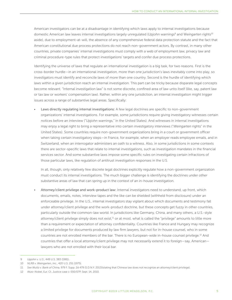American investigators can be at a disadvantage in identifying which laws apply to internal investigations because domestic American law leaves internal investigations largely unregulated (*Upjohn* warnings<sup>9</sup> and Weingarten rights<sup>10</sup> aside), due to employment-at-will, the absence of any comprehensive federal data protection statute and the fact that American constitutional due process protections do not reach non-government actors. By contrast, in many other countries, private companies' internal investigations must comply with a web of employment law, privacy law and criminal procedure-type rules that protect investigations' targets and confer due process protections.

Identifying the universe of laws that regulate an international investigation is a big task, for two reasons. First is the cross-border hurdle—in an international investigation, more than one jurisdiction's laws inevitably come into play, so investigators must identify and reconcile laws of more than one country. Second is the hurdle of identifying which laws within a given jurisdiction reach an internal investigation. This part can be tricky because disparate legal concepts become relevant. "Internal investigation law" is not some discrete, confined area of law unto itself (like, say, patent law or tax law or workers' compensation law). Rather, within any one jurisdiction, an internal investigation might trigger issues across a range of substantive legal areas. Specifically:

Laws directly regulating internal investigations: A few legal doctrines are specific to non-government organizations' internal investigations. For example, some jurisdictions require giving investigatory witnesses certain notices before an interview ("*Upjohn* warnings," in the United States). And witnesses in internal investigations may enjoy a legal right to bring a representative into certain investigatory interviews ("*Weingarten* rights" in the United States). Some countries require non-government organizations bring in a court or government officer when taking certain investigatory steps—in France, for example, when an employer reads employee emails, and in Switzerland, when an interrogator administers an oath to a witness. Also, in some jurisdictions in some contexts there are sector-specific laws that relate to internal investigations, such as investigation mandates in the financial services sector. And some substantive laws impose some specific rules on investigating certain infractions of those particular laws, like regulation of antitrust investigation responses in the U.S.

In all, though, only relatively few discrete legal doctrines explicitly regulate how a non-government organization must conduct its internal investigations. The much bigger challenge is identifying the doctrines under *other* substantive areas of law that can spring up in the context of an in-house investigation.

• Attorney/client privilege and work-product law: Internal investigators need to understand, up front, which documents, emails, notes, interview tapes and the like can be shielded (withheld from disclosure) under an enforceable privilege. In the U.S., internal investigators stay vigilant about which documents and testimony fall under attorney/client privilege and the work-product doctrine, but these concepts get fuzzy in other countries, particularly outside the common-law world. In jurisdictions like Germany, China, and many others, a U.S.-style attorney/client privilege simply does not exist,<sup>11</sup> or at most, what is called the "privilege" amounts to little more than a requirement or expectation of attorney confidentiality. Countries like France and Hungary may recognize a limited privilege for documents produced by law firm lawyers, but not for in-house counsel, who in some countries are not enrolled members of the bar. There is no European-wide in-house counsel privilege.<sup>12</sup> And countries that offer a local attorney/client privilege may not necessarily extend it to foreign—say, American lawyers who are not enrolled with their local bar.

<sup>9</sup> *Upjohn v. U.S.*, 449 U.S. 383 (1981).

<sup>10</sup> *NLRB v. Weingarten, Inc.*, 420 U.S. 251 (1975).

<sup>11</sup> *See Wultz v. Bank of China,* 979 F. Supp. 2d 479 (S.D.N.Y. 2013)(stating that Chinese law does not recognize an attorney/client privilege).

<sup>12</sup> *Akzo-Nobel*, Eur. Ct. Justice case c-550/07P, Sept. 14, 2010.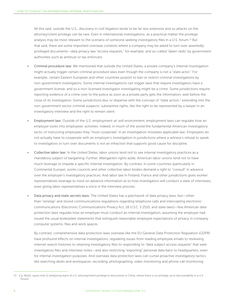All this said, outside the U.S., discovery in civil litigation tends to be far less extensive and so *attacks* on the attorney/client privilege can be rare. Even in international investigations, as a practical matter the privilege analysis may be most relevant to the scenario of someone seeking investigatory files in a U.S. forum.<sup>13</sup> But that said, there are some important overseas contexts where a company may be asked to turn over assertedly privileged documents—data privacy law "access requests," for example, and so-called "dawn raids" by government authorities such as antitrust or tax enforcers.

- Criminal procedure law: We mentioned that outside the United States, a private company's internal investigation might actually trigger certain criminal procedure laws even though the company is not a "state actor." For example, certain Eastern European and other countries purport to ban or restrict criminal investigations by non-government investigators. Some internal investigations can trigger laws that require investigators have a government license, and so a non-licensed investigator investigating might be a crime. Some jurisdictions require reporting evidence of a crime over to the police as soon as a private party gets the information, well before the close of its investigation. Some jurisdictions blur or dispense with the concept of "state action," extending into the non-government sector criminal suspects' substantive rights, like the right to be represented by a lawyer in an investigatory interview and the right to remain silent.
- Employment law: Outside of the U.S. employment-at-will environment, employment laws can regulate how an employer looks into employees' activities. Indeed, in much of the world the fundamental American investigatory tactic of instructing employees they "must cooperate" in an investigation misstates applicable law: Employees do not actually have to cooperate with an employer's investigation in jurisdictions where a witness's refusal to speak to investigators or turn over documents is not an infraction that supports good cause for discipline.
- Collective labor law: In the United States, labor unions tend not to see internal investigatory practices as a mandatory subject of bargaining. Further, *Weingarten* rights aside, American labor unions tend not to have much leverage to impede a specific internal investigation. By contrast, in some countries (particularly in Continental Europe), works councils and other collective labor bodies demand a right to "consult" in advance over the employer's investigatory practices. And labor law in Finland, France and other jurisdictions gives worker representatives leverage to insist on advance information as to how investigators will conduct a slate of interviews, even giving labor representatives a voice in the interview process.
- Data privacy and state secrets laws: The United States has a patchwork of data privacy laws, but—other than "wiretap" and stored communications regulations regarding telephone calls and intercepting electronic communications (Electronic Communications Privacy Act, 18 U.S.C. § 2510, and state laws)—few American data protection laws regulate how an employer must conduct an internal investigation, assuming the employer had issued the usual boilerplate statements that extinguish reasonable employee expectations of privacy in company computer systems, files and work spaces.

By contrast, comprehensive data protection laws overseas like the EU General Data Protection Regulation (GDPR) have profound effects on internal investigations, regulating issues from reading employee emails to reviewing internet search histories to retaining investigatory files to responding to "data subject access requests" that seek investigatory files and interview notes—and also restricting "exporting" personal data back to headquarters, even for internal investigation purposes. And overseas data protection laws can curtail proactive investigatory tactics like searching desks and workspaces, recording, photographing, video monitoring and phone call monitoring.

<sup>13</sup> *E.g. Wultz, supra* note 11 (analyzing reach of U.S. attorney/client privilege to documents in China, where there is no privilege, as to discoverability in a U.S. forum).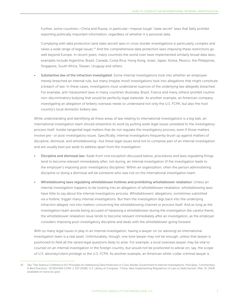Further, some countries—China and Russia, in particular—impose tough "state secret" laws that flatly prohibit exporting politically important information, regardless of whether it is personal data.

Complying with data protection (and state secret) laws in cross-border investigations is particularly complex and raises a wide range of legal issues.<sup>14</sup> And the comprehensive data protection laws imposing these restrictions go well beyond Europe. In recent years, many countries the world over have implemented similarly broad data laws; examples include Argentina, Brazil, Canada, Costa Rica, Hong Kong, Israel, Japan, Korea, Mexico, the Philippines, Singapore, South Africa, Taiwan, Uruguay and others.

• Substantive law of the infraction investigated: Some internal investigations look into whether an employee merely breached an internal rule, but many (maybe most) investigations look into allegations that might constitute a breach of law. In these cases, investigators must understand nuances of the underlying law allegedly breached. For example, anti-harassment laws in many countries (Australia, Brazil, France and many others) prohibit routine non-discriminatory bullying that would be perfectly legal stateside. As another example, an American company investigating an allegation of bribery overseas needs to understand not only the U.S. FCPA, but also the host country's local domestic bribery law.

While understanding and identifying all these areas of law relating to international investigations is a big task, an international investigation team should streamline its work by putting aside legal issues *unrelated* to the investigatory process itself. Isolate tangential legal matters that do not regulate the investigatory process, even if those matters involve pre- or post-investigatory issues. Specifically, internal investigators frequently brush up against matters of discipline, dismissal, and whistleblowing—but these legal issues tend not to comprise part of an internal investigation and are usually best put aside to address apart from the investigation:

- Discipline and dismissal law: Aside from one exception discussed below, procedures and laws regulating firings tend to become relevant immediately *after*, not during, an internal investigation (if the investigation leads to the employer's imposing post-investigatory discipline). Within an organization, often the person administering discipline or doing a dismissal will be someone who was not on the international investigation team.
- Whistleblowing laws regulating whistleblower hotlines and prohibiting whistleblower retaliation: Unless an internal investigation happens to be looking into an allegation of whistleblower retaliation, whistleblowing laws have little to say about the internal investigatory process. Whistleblowers' allegations, sometimes submitted via a hotline, *trigger* many internal investigations. But then the investigation digs back into the underlying infraction alleged, not into matters concerning the whistleblowing channel or process itself. And as long as the investigation team avoids being accused of harassing a whistleblower during the investigation (be careful there), the whistleblower retaliation issue tends to become relevant immediately *after* an investigation, as the employer considers imposing post-investigatory discipline and deals with the whistleblower going forward.

With so many legal issues in play in an internal investigation, having a lawyer on (or advising) an international investigation team is a real asset. Unfortunately, though, one lone lawyer may not be enough, unless that lawyer is positioned to field all the varied legal questions likely to arise. For example, a local overseas lawyer may be vital to counsel on an internal investigation in the foreign country, but would not be positioned to advise on, say, the scope of U.S. attorney/client privilege or the U.S. FCPA. As another example, an American white-collar criminal lawyer is

<sup>14</sup> *See* "The Sedona Conference Int'l Principles for Addressing Data Protection in Cross-Border Government & Internal Investigations: Principles, Commentary & Best Practices," 19 SEDONA CONF. J. 557 (2018); U.S. Library of Congress, "China: New Implementing Regulations of Law on State Secrets" (Mar. 31, 2014) (*available on* www.loc.gov).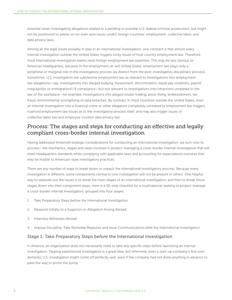essential when investigating allegations related to a pending or possible U.S. federal criminal prosecution, but might not be positioned to advise on (or even spot issues under) foreign countries' employment, collective labor, and data privacy laws.

Among all the legal issues possibly in play in an international investigation, one constant is that almost every internal investigation outside the United States triggers tricky issues of host country *employment* law. Therefore, most international investigation teams need foreign employment law expertise. This may be less obvious to American headquarters, because in the employment-at-will United States, employment law plays only a peripheral or marginal role in the investigatory process (as distinct from the post-investigatory *disciplinary* process). Sometimes, U.S. investigators see substantive employment law as relevant to investigations into employment law allegations—say, investigations into alleged bullying, harassment, discrimination, equal pay violations, payroll irregularities or immigration/I-9 compliance—but not relevant to investigations into infractions unrelated to the law of the workplace—for example, investigations into alleged insider trading, price-fixing, embezzlement, tax fraud, environmental wrongdoing or data breaches. By contrast, in most countries outside the United States, even an internal investigation into a financial crime or other allegation completely unrelated to employment law triggers nuanced employment law issues *as to the investigatory process itself*, and may also trigger issues of collective labor law and employee-context data privacy law.

## *Process:* The stages and steps for conducting an effective and legally compliant cross-border internal investigation

Having addressed threshold strategic considerations for conducting an international investigation, we turn now to process—the mechanics, stages and steps involved in project-managing a cross-border internal investigation that will meet headquarters standards while complying with applicable laws and accounting for expectations overseas that may be hostile to American-style investigatory practices.

There are any number of ways to break down or unpack the international investigatory process. Because every investigation is different, some components central to one investigation will not be present in others. One helpful way to separate out the issues is to detail the main stages of an international investigation, and then to break those stages down into their component steps. Here is a 30-step checklist for a multinational seeking to project-manage a cross-border internal investigation, grouped into four stages:

- 1. Take Preparatory Steps *before* the International Investigation
- 2. Respond Initially to a Suspicion or Allegation Arising Abroad
- 3. Interview Witnesses Abroad
- 4. Impose Discipline, Take Remedial Measures and Issue Communications *after* the International Investigation

#### Stage 1: Take Preparatory Steps *before* the International Investigation

In America, an organization does not necessarily need to take any specific steps before launching an internal investigation. Tapping experienced investigators is a great idea, but otherwise, even a start-up company's first-ever domestic U.S. investigation might come off perfectly well, even if the company had not done anything in advance to pave the way or prime the pump.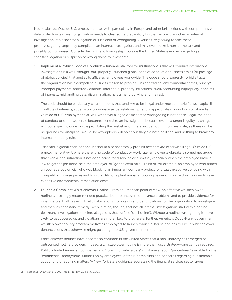Not so abroad. Outside U.S. employment-at-will—particularly in Europe and other jurisdictions with comprehensive data protection laws—an organization needs to clear some preparatory hurdles before it launches an internal investigation into a specific allegation or suspicion of wrongdoing. Overseas, *neglecting* to take these pre-investigatory steps may complicate an internal investigation, and may even make it non-compliant and possibly compromised. Consider taking the following steps outside the United States even before getting a specific allegation or suspicion of wrong doing to investigate.

1. Implement a Robust Code of Conduct: A fundamental tool for multinationals that will conduct international investigations is a well-thought-out, properly-launched global code of conduct or business ethics (or package of global policies) that applies to affiliates' employees worldwide. The code should expressly forbid all acts the organization has a compelling business reason to prohibit—insider trading, environmental crimes, bribery/ improper payments, antitrust violations, intellectual property infractions, audit/accounting impropriety, conflicts of interests, mishandling data, discrimination, harassment, bullying and the rest.

The code should be particularly clear on topics that tend *not* to be illegal under most countries' laws—topics like conflicts of interests, supervisor/subordinate sexual relationships and inappropriate conduct on social media. Outside of U.S. employment-at-will, whenever alleged or suspected wrongdoing is not per se illegal, the code of conduct or other work rule becomes central to an investigation, because even if a target is guilty as charged, without a specific code or rule prohibiting the misbehavior, there will be nothing to investigate, as there will be no grounds for discipline. Would-be wrongdoers will point out they did nothing illegal and nothing to break any internal company rule.

That said, a global code of conduct should also specifically prohibit acts that *are* otherwise illegal. Outside U.S. employment-at-will, where there is no code of conduct or work rule, employee lawbreakers sometimes argue that even a legal infraction is not good cause for discipline or dismissal, especially when the employee broke a law to get the job done, help the employer, or "go the extra mile." Think of, for example, an employee who bribed an obstreperous official who was blocking an important company project, or a sales executive colluding with competitors to raise prices and boost profits, or a plant manager pouring hazardous waste down a drain to save expensive environmental remediation costs.

2. Launch a Compliant Whistleblower Hotline: From an American point of view, an effective whistleblower hotline is a strongly recommended practice, both to uncover compliance problems and to provide evidence for investigators. Hotlines exist to elicit allegations, complaints and denunciations for the organization to investigate and then, as necessary, remedy (keep in mind, though, that not all internal investigations start with a hotline tip—many investigations look into allegations that surface "off-hotline"). Without a hotline, wrongdoing is more likely to get covered up and violations are more likely to proliferate. Further, America's Dodd-Frank government whistleblower bounty program motivates employers to launch robust in-house hotlines to lure in whistleblower denunciations that otherwise might go straight to U.S. government enforcers.

Whistleblower hotlines have become so common in the United States that a mini-industry has emerged of outsourced hotline providers. Indeed, a whistleblower hotline is more than just a strategy—one can be required. Publicly traded American companies and "foreign private issuers" must make report "procedures" available for the "confidential, anonymous submission by employees" of their "complaints and concerns regarding questionable accounting or auditing matters."<sup>15</sup> New York State guidance addressing the financial services sector urges

<sup>15</sup> Sarbanes-Oxley Act of 2002, Pub.L. No. 107-204, at §301 (1).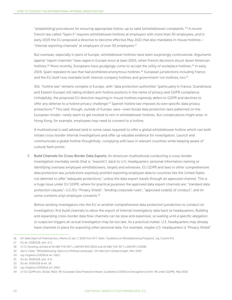"establish[ing] procedures for ensuring appropriate follow-up to valid [whistleblower] complaints."16 A recent French law called "Sapin II" requires whistleblower hotlines at employers with more than 50 employees, and in early 2019 the EU proposed a directive to become effective May 2021 that also mandates in-house hotlines— "internal reporting channels" at employers of over 50 employees.<sup>17</sup>

But overseas, especially in parts of Europe, whistleblower hotlines have been surprisingly controversial. Arguments against "report channels" have raged in Europe since at least 2005, when French decisions struck down American hotlines.<sup>18</sup> More recently, Europeans have grudgingly come to accept the utility of workplace hotlines.<sup>19</sup> In early 2019, Spain repealed its law that had prohibited anonymous hotlines.20 European jurisdictions including France and the EU itself now mandate both internal company hotlines and government-run hotlines, too.<sup>21</sup>

Still, "hotline law" remains complex in Europe, with "data protection authorities" (particularly in France, Scandinavia and Eastern Europe) still taking strident anti-hotline positons in the name of privacy and GDPR compliance. Unhelpfully, the proposed EU directive requiring in-house hotlines expressly defers to GDPR and declines to offer any defense to a hotline privacy challenge.<sup>22</sup> Spanish hotline law imposes its own specific data privacy protections.23 This said, though, *outside* of Europe, laws—even broad data protection laws patterned on the European model—rarely seem to get invoked to rein in whistleblower hotlines. But complications might arise. In Hong Kong, for example, employees may need to consent to a hotline.

A multinational is well advised (and in some cases required) to offer a global whistleblower hotline which can both initiate cross-border internal investigations and offer up valuable evidence for investigators. Launch and communicate a global hotline thoughtfully, complying with laws in relevant countries while keeping aware of cultural flash points.

3. Build Channels for Cross-Border Data Exports: An American multinational conducting a cross-border investigation inevitably sends (that is, "exports"), back to U.S. headquarters, personal information naming or identifying overseas employee whistleblowers, targets and witnesses. EU GDPR and laws in other comprehensive data protection law jurisdictions expressly prohibit exporting employee data to countries like the United States not deemed to offer "adequate protections," unless the data export travels through an approved channel. This is a huge issue under EU GDPR, where for practical purposes the approved data export channels are: "standard data protection clauses"; U.S./EU "Privacy Shield"; "binding corporate rules"; "approved code[s] of conduct"; and (in some contexts only) employee consents.<sup>24</sup>

Before sending investigators into the EU or another comprehensive data protection jurisdiction to conduct an investigation, first build channels to allow the export of internal investigatory data back to headquarters. Building and expanding cross-border data flow channels can be slow and expensive, so waiting until a specific allegation or suspicion triggers an actual investigation may be too late. As a practical matter, U.S. headquarters may already have channels in place for exporting *other* personal data. For example, maybe U.S. headquarters is "Privacy Shield"

<sup>16</sup> NY State Dep't of Financial Svcs. Memo of Jan. 7, 2019 from M.T. Vello, "Guidance on Whistleblowing Programs," pg. 5 point # 6.

<sup>17</sup> EU dir. 2018/218, arts. 4-5.

<sup>18</sup> *Cf.* D. Dowling, articles at 45 ABA THE INT'L LAWYER 903 (2011) and 42 ABA THE INT'L LAWYER 1 (2008).

<sup>19</sup> *See* S. Fuller, "Whistleblowing: Signs of a Shifting Landscape," Int'l Bar Ass'n Global Insight, Mar. 2019.

<sup>20</sup> *Ley Orgánica* 3/2018 at art. 24(1).

<sup>21</sup> EU dir. 2018/218, arts. 4-6.

<sup>22</sup> EU dir. 2018/218 at art. 18.

<sup>23</sup> *Ley Orgánica* 3/2018 at art. 24(2).

<sup>24</sup> *Cf.* EU GDPR arts. 6(1)(a); 46(2); 49; European Data Protection Board, Guidelines 2/2018 on Derogations of Art. 49 under [GDPR], May 2018.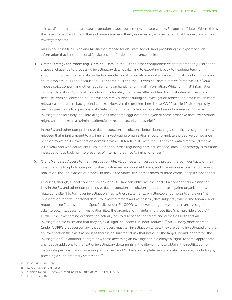self-certified or has standard data-protection-clause agreements in place with its European affiliates. Where this is the case, go back and check these channels—amend them, as necessary—to be certain that they expressly cover *investigatory* data.

And in countries like China and Russia that impose tough "state secret" laws prohibiting the export of even information that is not "personal," stake out a defensible compliance positon.

4. Craft a Strategy for Processing "Criminal" Data: In the EU and other comprehensive data protection jurisdictions, a special challenge to processing investigatory data locally (and to exporting it back to headquarters) is accounting for heightened data protection regulation of information about possible criminal conduct. This is an acute problem in Europe because EU GDPR article 10 and the EU criminal-data directive (directive 2016/680) impose strict consent and other requirements on handling "criminal" information. While "criminal" information includes data about "criminal convictions," fortunately that poses little problem for most internal investigations, because "criminal convictio[n]" information rarely surfaces during an investigation (conviction data is much more relevant as to pre-hire background checks). However, the problem here is that GDPR article 10 also expressly reaches pre-conviction personal data "relating to criminal…offences or related security measures." Internal investigations routinely look into allegations that some aggrieved employee or some proactive data law enforcer might characterize as a "criminal…offenc[e] or related security measur[e]."

In the EU and other comprehensive data protection jurisdictions, before launching a specific investigation into a misdeed that might amount to a crime, an investigating organization should formulate a proactive compliance position by which its investigation complies with GDPR article 10, with the EU criminal data directive (directive 2016/680) and with equivalent rules in other countries regulating criminal "offence" data. One strategy is to frame investigations as looking into breaches of internal rules, not "criminal offences."

5. Grant Mandated Access to the Investigation File: All competent investigators protect the confidentiality of their investigations to uphold integrity, to shield witnesses and whistleblowers, and to minimize exposure to claims of retaliation, libel or invasion of privacy. In the United States, this comes down to three words: Keep It Confidential.

Overseas, though, a legal concept unknown to U.S. law can obliterate the ideal of a confidential investigation. Law in the EU and other comprehensive data protection jurisdictions forces an investigating organization (a "data controller") to turn over investigation files, witness statements, whistleblower complaints and even final investigation reports ("personal data") to involved targets and witnesses ("data subjects") who come forward and request to see ("access") them. Specifically, under EU GDPR, whenever a target or witness in an investigation asks "to obtain...access to" investigation files, the organization maintaining those files "shall provide a copy."<sup>25</sup> Further, the investigating organization actually has to disclose to the target and witnesses both that an investigation file exists and that they enjoy a "right" to "access" it upon "request."26 An EU body once decreed (under GDPR's predecessor law) that employers must tell investigation targets they are being investigated and that an investigation file exists as soon as there is no substantial risk that notice to the target "would jeopardize" the investigation.<sup>27</sup> In addition, a target or witness accessing an investigation file enjoys a "right" to force appropriate changes or additions to the text of investigatory documents in the file—a "right to obtain…the rectification of inaccurate personal data concerning him or her" and "to have incomplete personal data completed, including by… providing a supplementary statement."28

26 EU GDPR art. 14(1)(d), (2)(c).

28 EU GDPR art. 16.

<sup>25</sup> EU GDPR art. 15(1), (3).

<sup>27</sup> Opinion 1/2006, EU Article 29 Working Party, 00195/06WP 117, Feb. 1, 2006.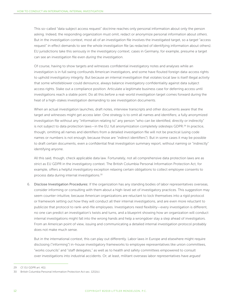This so-called "data subject access request" doctrine reaches only personal information about only the person asking. Indeed, the responding organization must omit, redact or anonymize personal information about *others*. But in the investigation context, most all of an investigation file involves the investigated target, so a *target* "access request" in effect demands to see the whole investigation file (as redacted of identifying information about others). EU jurisdictions take this seriously in the investigatory context; cases in Germany, for example, presume a target can see an investigation file even *during* the investigation.

Of course, having to show targets and witnesses confidential investigatory notes and analyses while an investigation is in full swing confounds American investigators, and some have flouted foreign data-access rights to uphold investigatory integrity. But because an internal investigation that violates local law is itself illegal activity that some whistleblower could denounce, always balance investigatory confidentiality against data subject access rights. Stake out a compliance position. Articulate a legitimate business case for deferring access until investigations reach a stable point. Do all this *before* a real-world investigation target comes forward during the heat of a high-stakes investigation demanding to see investigation documents.

When an actual investigation launches, draft notes, interview transcripts and other documents aware that the target and witnesses might get access later. One strategy is to omit all names and identifiers; a fully anonymized investigation file without any "information relating to" any person "who can be identified, directly or indirectly" is not subject to data protection laws—in the EU, full anonymization completely sidesteps GDPR.<sup>29</sup> In practice, though, omitting all names and identifiers from a detailed investigation file will not be practical (using code names or numbers is not enough, because those are "indirect identifiers"). But in some cases it may be possible to draft certain documents, even a confidential final investigation summary report, without naming or "indirectly" identifying anyone.

All this said, though, check applicable data law. Fortunately, not all comprehensive data protection laws are as strict as EU GDPR in the investigatory context. The British Columbia Personal Information Protection Act, for example, offers a helpful investigatory exception relaxing certain obligations to collect employee consents to process data during internal investigations.<sup>30</sup>

6. Disclose Investigation Procedures: If the organization has any standing bodies of labor representatives overseas, consider informing or consulting with them about a high-level set of investigatory practices. This suggestion may seem counter-intuitive, because American organizations are reluctant to lock themselves into a rigid protocol or framework setting out how they will conduct all their internal investigations, and are even more reluctant to publicize that protocol to rank-and-file employees. Investigators need flexibility—every investigation is different, no one can predict an investigation's twists and turns, and a blueprint showing how an organization will conduct internal investigations might fall into the wrong hands and help a wrongdoer stay a step ahead of investigators. From an American point of view, issuing and communicating a detailed internal investigation protocol probably does not make much sense.

But in the international context, this can play out differently. Labor laws in Europe and elsewhere might require disclosing ("informing") in-house investigatory frameworks to employee representatives like union committees, "works councils" and "staff delegates," as well as to health and safety committees empowered to consult over investigations into industrial accidents. Or, at least, militant overseas labor representatives have *argued* 

29 *Cf.* EU GDPR art. 4(1).

<sup>30</sup> British Columbia Personal Information Protection Act sec. 12(1)(c).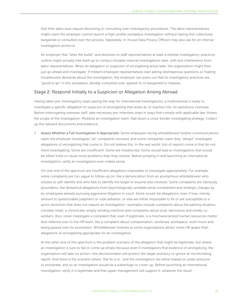that their labor laws require disclosing or consulting over investigatory procedures. The labor representatives might claim the employer cannot launch a high-profile workplace investigation without having first collectively bargained or consulted over the process. Separately, in-house Data Privacy Officers may also ask for an internal investigation protocol.

An employer that "bites the bullet" and discloses to staff representatives at least a skeletal investigatory-practices outline might actually free itself up to conduct broader internal investigations later, with less interference from labor representatives. When an allegation or suspicion of wrongdoing arises later, the organization might then just go ahead and investigate. If militant employee representatives start asking obstreperous questions or making troublesome demands about the investigation, the employer can point out that its investigatory practices are "good to go" in this workplace, already consulted over, agreed-to or bargained to impasse.

#### Stage 2: Respond Initially to a Suspicion or Allegation Arising Abroad

Having taken pre-investigatory steps paving the way for international investigations, a multinational is ready to investigate a specific allegation or suspicion of wrongdoing that arises at, or reaches into, its operations overseas. Before interrogating overseas staff, take necessary pre-interview steps in ways that comply with applicable law. Assess the scope of the investigation. Mobilize an investigation team. Nail down a cross-border investigating strategy. Collect up the relevant documents and evidence.

7. Assess Whether a Full Investigation Is Appropriate: Some employee-facing whistleblower hotline communications claim the employer investigates "all" complaints received, and some companies claim they "always" investigate allegations of wrongdoing that come in. Do not believe this. In the real world, lots of reports come in that do not merit investigating. Some are insufficient. Some are misdirected. Some would lead to investigations that would be either futile or cause more problems than they resolve. Before jumping in and launching an international investigation, verify an investigation even makes sense.

On one end of the spectrum are insufficient allegations impossible to investigate appropriately. For example, some complaints are too vague to follow up on, like a denunciation from an anonymous whistleblower who refuses to self-identify and who fails to identify the target or anyone else involved. Some complaints are obviously groundless, like fantastical allegations from psychologically unstable serial complainers and strategic charges by ex-employees already pursuing aggressive litigation in court. Some would-be allegations, even if true, merely amount to questionable judgment or rude behavior, or else are either impossible to fix or are susceptible to a quick resolution that does not require an investigation—examples include complaints about the parking situation, a broken toilet, a chronically-empty vending machine and complaints about loud, obnoxious and smelly coworkers. Also, never investigate a complaint that, even if legitimate, is a mischaracterized human resources matter best referred over to the HR team, like a complaint about compensation, workload, workspace, work hours and being passed over for promotion. Whistleblower hotlines at some organizations attract more HR gripes than allegations of wrongdoing appropriate for an investigation.

At the other end of this spectrum is the problem scenario of the allegation that might be legitimate, but where an investigation is sure to fail or come up empty because even if investigators find evidence of wrongdoing, the organization will take no action—the decisionmaker will protect the target and bury or ignore an incriminating report. And there is the scenario where "the fix is in," and the investigators are either biased or under pressure to exonerate, and so an investigation would be a subterfuge or cover-up. Before launching an international investigation, verify it is legitimate and that upper management will support it, whatever the result.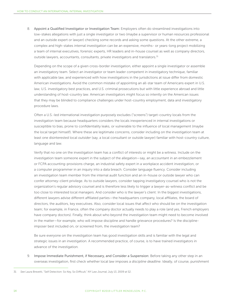8. Appoint a Qualified Investigator or Investigation Team: Employers often do streamlined investigations into low-stakes allegations with just a single investigator or two (maybe a supervisor or human resources professional and an outside expert or lawyer) checking some records and asking some questions. At the other extreme, a complex and high-stakes internal investigation can be an expensive, months- or years-long project mobilizing a team of internal executives, forensic experts, HR leaders and in-house counsel as well as company directors, outside lawyers, accountants, consultants, private investigators and translators.<sup>31</sup>

Depending on the scope of a given cross-border investigation, either appoint a single investigator or assemble an investigatory team. Select an investigator or team leader competent in investigatory technique, familiar with applicable law, and experienced with how investigations in the jurisdictions at issue differ from domestic American investigations. Avoid the common mistake of appointing an all-star team of Americans expert in U.S. law, U.S. investigatory best practices, and U.S. criminal prosecutions but with little experience abroad and little understanding of host-country law. American investigators might focus so intently on the American issues that they may be blinded to compliance challenges under host-country employment, data and investigatory procedure laws.

Often a U.S.-led international investigation purposely excludes ("screens") target-country locals from the investigation team because headquarters considers the locals inexperienced in internal investigations or susceptible to bias, prone to confidentiality leaks, or vulnerable to the influence of local management (maybe the local target himself). Where these are legitimate concerns, consider including on the investigation team at least one disinterested local *outsider* (say, a local consultant or outside lawyer) familiar with host-country culture, language and law.

Verify that no one on the investigation team has a conflict of interests or might be a witness. Include on the investigation team someone expert in the subject of the allegation—say, an accountant in an embezzlement or FCPA accounting-provisions charge, an industrial safety expert in a workplace accident investigation, or a computer programmer in an inquiry into a data breach. Consider language fluency. Consider including an investigation team member from the internal audit function and an in-house or outside lawyer who can confer attorney-client privilege. As to outside lawyers, consider tapping investigatory counsel who is not the organization's regular advisory counsel and is therefore less likely to trigger a lawyer-as-witness conflict and be too close to interested local managers. And consider who is the lawyer's client: In the biggest investigations, different lawyers advise different affiliated parties—the headquarters company, local affiliates, the board of directors, the auditors, key executives. Also, consider local issues that affect who should be on the investigation team; for example, in France, often the company doctor actually needs to play a role (and yes, French employers have company doctors). Finally, think about who beyond the investigation team might need to become involved in the matter—for example, who will impose discipline and handle grievance procedures? Is the disciplineimposer best included on, or screened from, the investigation team?

Be sure everyone on the investigation team has good investigation skills and is familiar with the legal and strategic issues in an investigation. A recommended practice, of course, is to have trained investigators in advance of the investigation.

9. Impose Immediate Punishment, if Necessary, and Consider a Suspension: Before taking any other step in an overseas investigation, first check whether local law imposes a *discipline deadline*. Ideally, of course, punishment

<sup>31</sup> *See* Laura Brevetti, "Self Detection: So Key, So Difficult," *NY Law Journal*, July 13, 2009 at S2.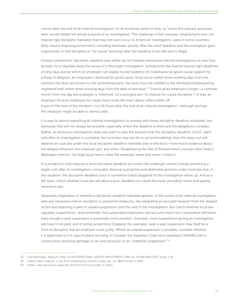comes after the end of an internal investigation; to an American point of view, to "shoot first and ask questions later" would defeat the whole purpose of an investigation. The challenge is that overseas, employment laws can impose rigid discipline mandates that may not even occur to American investigators. Laws in some countries flatly require imposing punishment, including dismissal, quickly. Miss the short deadline and the wrongdoer goes unpunished, in that discipline or "for cause" dismissal after the deadline is too late and is illegal.

Foreign jurisdictions' discipline-deadline laws either do not foresee exhaustive internal investigations or else they actively try to legislate away the luxury of a thorough investigation. Jurisdictions like Austria impose tight deadlines of only days during which an employer can legally invoke evidence of misbehavior as good-cause support for a firing. In Belgium, an employee's dismissal for good cause "must occur within three working days from the moment the facts are known to the terminating party; the facts must be notified to the dismissed [employee] by registered mail within three working days from the date of dismissal."<sup>32</sup> France gives employers longer—a calendar month from the day the employer is "informed" of a wrongful act—to impose for-cause discipline.<sup>33</sup> In Iraq, an employer firing an employee for cause must notify the Iraqi Labour office within 24 hours of the time of the *incident*—not 24 hours after the end of an internal investigation—although perhaps the employer might be able to dismiss later.

It is easy to advise expediting all internal investigations to comply with these discipline-deadline mandates, but obviously that will not always be possible, especially where the deadline is short and the allegations complex. Rather, an American investigation team will want to take the position that the discipline-deadline "clock" starts only after its investigation is complete, but local law may not be so accommodating. How this plays out will depend on case law under the local discipline-deadline mandate and on the facts—how much evidence about the alleged infraction the employer got, and when. Paraphrasing the title of Richard Nixon counsel John Dean's Watergate memoir, the legal issue here is what the employer knew and when it knew it.

In a jurisdiction that imposes a short discipline deadline but where the employer cannot tolerate punishing a target until after its investigation concludes, develop a proactive and defensible position under local law that, in this situation, the discipline-deadline clock is somehow tolled (stopped) till the investigation winds up. And as a fall-back, check whether local law will allow a post-deadline *no-cause* dismissal, providing notice and paying severance pay.

Separately (regardless of whether a discipline-deadline mandate applies), at the outset of an internal investigation take any necessary *interim* discipline or personnel measures, like separating an accused harasser from the alleged victim and imposing a paid or unpaid suspension until the end of the investigation. But check whether local law regulates suspensions—and remember that suspended employees can become much less cooperative witnesses, even though a paid suspension is essentially extra vacation. Overseas, most suspensions during an investigation will have to be paid, and in some jurisdictions (England, for example), even a paid suspension may itself be a form of discipline that an employer must justify. Where an unpaid suspension is possible, consider whether it is legitimate or if it stays in place too long. In Canada, the Supreme Court once awarded CAN\$485,100 in constructive dismissal damages to an executive put on an "indefinite suspension."34

<sup>32</sup> Carl Bevernage, "Belgium" chap. 3 in INTERNATIONAL LABOR & EMPLOYMENT LAWS vol. IA (ABA/BNA 2017), at pg. 3-44.

<sup>33</sup> French Labor Code art. L.124-10 *as interpreted by* French Ct.App. dec. no. 38634 of Apr. 3, 2014.

<sup>34</sup> *Potter v. New Brunswick Legal Aid*, 2015 SCC 10 (CanL II) (Mar. 6, 2015).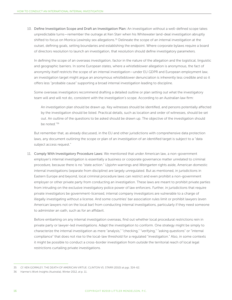10. Define Investigation Scope and Draft an Investigation Plan: An investigation without a well-defined scope takes unpredictable turns—remember the outrage at Ken Starr when his Whitewater land-deal investigation abruptly shifted to focus on Monica Lewinsky sex allegations.<sup>35</sup> Delineate the scope of an internal investigation at the outset, defining goals, setting boundaries and establishing the endpoint. Where corporate bylaws require a board of directors resolution to launch an investigation, that resolution should define investigatory parameters.

In defining the scope of an overseas investigation, factor in the nature of the allegation and the logistical, linguistic and geographic barriers. In some European states, where a whistleblower allegation is anonymous, the fact of anonymity itself restricts the scope of an internal investigation—under EU GDPR and European employment law, an investigation target might argue an anonymous whistleblower denunciation is inherently less credible and so it offers less "probable cause" supporting a broad internal investigation leading to discipline.

Some overseas investigators recommend drafting a detailed outline or plan setting out what the investigatory team will and will not do, consistent with the investigation's scope. According to an Australian law firm:

An investigation plan should be drawn up. Key witnesses should be identified, and persons potentially affected by the investigation should be listed. Practical details, such as location and order of witnesses, should be set out. An outline of the questions to be asked should be drawn up. The objective of the investigation should be noted<sup>"36</sup>

But remember that, as already discussed, in the EU and other jurisdictions with comprehensive data protection laws, any document outlining the scope or plan of an investigation of an identified target is subject to a "data subject access request."

11. Comply With Investigatory Procedure Laws: We mentioned that under American law, a non-government employer's internal investigation is essentially a business or corporate governance matter unrelated to criminal procedure, because there is no "state action." *Upjohn* warnings and *Weingarten* rights aside, American domestic internal investigations (separate from discipline) are largely unregulated. But as mentioned, in jurisdictions in Eastern Europe and beyond, local criminal procedure laws can restrict and even prohibit a non-government employer or other private party from conducting an investigation. These laws are meant to prohibit private parties from intruding on the exclusive investigatory police power of law enforcers. Further, in jurisdictions that require private investigators be government-licensed, internal company investigators are vulnerable to a charge of illegally investigating without a license. And some countries' bar association rules limit or prohibit lawyers (even American lawyers not on the local bar) from conducting internal investigations, particularly if they need someone to administer an oath, such as for an affidavit.

Before embarking on any internal investigation overseas, find out whether local procedural restrictions rein in private party or lawyer-led investigations. Adapt the investigation to conform. One strategy might be simply to characterize the internal investigation as mere "analysis," "checking," "verifying," "asking questions" or "internal compliance" that does not rise to the local-law threshold for a regulated "investigation." Also, in some contexts it might be possible to conduct a cross-border investigation from *outside* the territorial reach of local legal restrictions curtailing private investigations.

<sup>35</sup> *Cf.* KEN GORMLEY, THE DEATH OF AMERICAN VIRTUE: CLINTON VS. STARR (2010) at pgs. 324-62.

<sup>36</sup> Harmer's Work Insights (Australia), Winter 2012, at p. 11.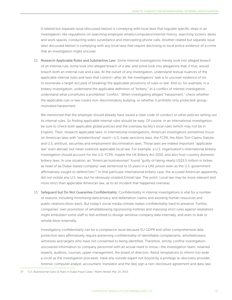A related but separate issue (discussed below) is complying with local laws that regulate specific steps in an investigation, like regulations on searching employee emails/computers/internet history, searching lockers, desks and work spaces, conducting video surveillance and intercepting phone calls. Another related but separate issue (also discussed below) is complying with any local laws that require disclosing to local police evidence of a crime that an investigation might uncover.

12. Research Applicable Rules and Substantive Law: Some internal investigations merely look into alleged breach of an internal rule, some look into alleged breach of a law, and some look into allegations that, if true, would breach both an internal rule and a law. At the outset of any investigation, understand textual nuances of the applicable internal rules and laws that control—after all, the investigators' task is to uncover evidence of (or to exonerate a target accused of breaking) the applicable provisions of rules or law. And so, for example, in a bribery investigation, understand the applicable definition of "bribery." In a conflict of interest investigation, understand what constitutes a prohibited "conflict." When investigating alleged "harassment," check whether the applicable rule or law covers non-discriminatory bullying, or whether it prohibits only protected-groupmotivated harassment.

We mentioned that the employer should already have issued a clear code of conduct or other policies setting out its internal rules. So finding applicable internal rules should be easy. Of course, in an international investigation, be sure to check both applicable *global* policies and the overseas facility's *local* rules (which may not be in English). Then, research applicable laws. In international investigations, American investigators sometimes focus on American laws with "extraterritorial" reach—U.S. trade sanctions laws, the FCPA, the Alien Tort Claims Statute, and U.S. antitrust, securities and employment discrimination laws. Those laws are indeed important "applicable law" even abroad, but never overlook applicable *local* law. For example, a U.S. organization's international bribery investigation should account for the U.S. FCPA, maybe the UK Bribery Act 2010, and also host-country domestic bribery laws. In one situation, an "American businessman" found "guilty of taking nearly US\$5.5 million in bribes as head of [a] Dubai-based company" was sentenced to 15 years in a UAE prison even as the U.S. government affirmatively sought to *defend* him.37 In that particular international bribery case, the accused American apparently did not violate any U.S. law, but he obviously violated Emirati law. The point: Local law may be more relevant and more strict than applicable American law, as to an incident that happened overseas.

13. Safeguard but Do Not Guarantee Confidentiality: Confidentiality in internal investigations is vital for a number of reasons, including minimizing data privacy and defamation claims and avoiding human resources and public relations blow-back. But today's social media climate makes confidentiality hard to preserve. Further, companies' own promotion of whistleblowing (sponsoring hotlines and imposing strict rules against retaliation) might embolden some staff to feel entitled to divulge sensitive company data internally, and even to leak or whistle blow externally.

Investigatory confidentiality can be a compliance issue because EU GDPR and other comprehensive data protection laws affirmatively require preserving confidentiality of identifiable complainants, whistleblowers, witnesses and targets who have not consented to being identified. Therefore, strictly confine investigationuncovered information to company personnel with an actual need to know—the investigation team, retained experts, auditors, counsel, upper management, the board of directors. Resist temptations to inform too wide a circle as the investigation proceeds. Have any outside expert not bound by a privilege (e-discovery provider, forensic computer analyst, accountant, translator and the like) sign a non-disclosure agreement and data-law

<sup>37</sup> "U.S. Businessman Gets 15 Years in Dubai Fraud Cases," *Miami Herald*, Mar. 25, 2013.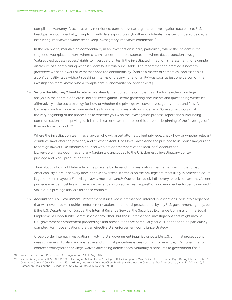compliance warranty. Also, as already mentioned, transmit overseas-gathered investigation data back to U.S. headquarters confidentially, complying with data export rules. (Another confidentiality issue, discussed below, is instructing interviewed witnesses to keep investigatory interviews confidential.)

In the real world, maintaining confidentiality in an investigation is hard, particularly where the incident is the subject of workplace rumors, where circumstances point to a source, and where data protection laws grant "data subject access request" rights to investigatory files. If the investigated infraction is harassment, for example, disclosure of a complaining witness's identity is virtually inevitable. The recommended practice is never to *guarantee* whistleblowers or witnesses absolute confidentiality. (And as a matter of semantics, address this as a confidentiality issue without speaking in terms of preserving "anonymity"—as soon as just one person on the investigation team knows who a complainant is, anonymity no longer exists.)

14. Secure the Attorney/Client Privilege: We already mentioned the complexities of attorney/client privilege analysis in the context of a cross-border investigation. Before gathering documents and questioning witnesses, affirmatively stake out a strategy for how or whether the privilege will cover investigatory notes and files. A Canadian law firm once recommended, as to domestic investigations in Canada: "Give some thought…at the very beginning of the process, as to whether you wish the investigation process, report and surrounding communications to be privileged. It is much easier to attempt to set this up at the beginning of the [investigation] than mid-way through."38

Where the investigation team has a lawyer who will assert attorney/client privilege, check how or whether relevant countries' laws offer the privilege, and to what extent. Does local law extend the privilege to in-house lawyers and to foreign lawyers like American counsel who are *not* members of the local bar? Account for lawyer-as-witness doctrines and any foreign law analogues to the U.S. domestic investigatory-context privilege and work-product doctrine.

Think about who might later attack the privilege by demanding investigators' files, remembering that broad, American-style civil discovery does not exist overseas. If attacks on the privilege are most likely in American court litigation, then maybe *U.S.* privilege law is most relevant.39 Outside broad civil discovery, attacks on attorney/client privilege may be most likely if there is either a "data subject access request" or a government enforcer "dawn raid." Stake out a privilege analysis for those contexts.

15. Account for U.S. Government Enforcement Issues: Most international internal investigations look into allegations that will never lead to inquiries, enforcement actions or criminal prosecutions by any U.S. government agency, be it the U.S. Department of Justice, the Internal Revenue Service, the Securities Exchange Commission, the Equal Employment Opportunity Commission or any other. But those international investigations that might involve U.S. government enforcement proceedings and prosecutions are particularly serious, and tend to be particularly complex. For those situations, craft an effective U.S. enforcement compliance strategy.

Cross-border internal investigations involving U.S. government inquiries or possible U.S. criminal prosecutions raise *sui generis* U.S.-law administrative and criminal procedure issues such as, for example, U.S. governmentcontext attorney/client privilege waiver, advancing defense fees, voluntary disclosures to government ("self-

<sup>38</sup> Rubin Thomlinson LLP *Workplace Investigation Alert #14*, Aug. 2012.

<sup>39</sup> *See Wultz, supra* note II (S.D.N.Y. 2013); E. Herrington & T. McCann, "Privilege Pitfalls: Companies Must Be Careful to Preserve Right During Internal Probes," *Corporate Counsel*, July 2014 at pg. 35; L. Krigten, "Waiver of Attorney-Client Privilege to Protect the Company" *Nat'l Law Journal*, Nov. 22, 2012 at 16; J. Nathanson, "Walking the Privilege Line," *NY Law Journal*, July 13, 2009, at S8.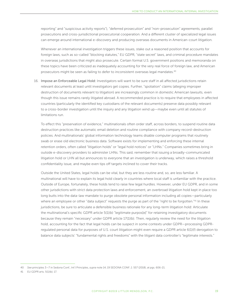reporting" and "suspicious activity reports"), "deferred prosecution" and "non-prosecution" agreements, parallel prosecutions and cross-jurisdictional prosecutorial cooperation. And a different cluster of specialized legal issues can emerge around international e-discovery and producing overseas documents in American-court litigation.

Whenever an international investigation triggers these issues, stake out a reasoned position that accounts for foreign laws, such as so-called "blocking statutes," EU GDPR, "state secret" laws, and criminal procedure mandates in overseas jurisdictions that might also prosecute. Certain formal U.S. government positions and memoranda on these topics have been criticized as inadequately accounting for the very real force of foreign law, and American prosecutors might be seen as failing to defer to inconsistent overseas legal mandates.<sup>40</sup>

16. Impose an Enforceable Legal Hold: Investigators will want to be sure staff in all affected jurisdictions retain relevant documents at least until investigators get copies. Further, "spoliation" claims (alleging improper destruction of documents relevant to litigation) are increasingly common in domestic American lawsuits, even though this issue remains rarely litigated abroad. A recommended practice is to require that employees in affected countries (particularly the identified key custodians of the relevant documents) preserve data possibly relevant to a cross-border investigation until the inquiry and any litigation wind up—maybe even until all statutes of limitations run.

To effect this "preservation of evidence," multinationals often order staff, across borders, to suspend routine data destruction practices like automatic email deletion and routine compliance with company record-destruction policies. And multinationals' global information technology teams disable computer programs that routinely swab or erase old electronic business data. Software exists for implementing and enforcing these internal retention orders, often called "litigation holds" or "legal hold notices" or "LHNs." Companies sometimes bring in outside e-discovery providers to administer LHNs. This said, remember that issuing a broadly-communicated litigation hold or LHN all but announces to everyone that an investigation is underway, which raises a threshold confidentiality issue, and maybe even tips off targets inclined to cover their tracks.

Outside the United States, legal holds can be vital, but they are less routine and, so, are less familiar. A multinational will have to explain its legal hold clearly in countries where local staff is unfamiliar with the practice. Outside of Europe, fortunately, these holds tend to raise few legal hurdles. However, under EU GDPR, and in some other jurisdictions with strict data protection laws and enforcement, an overbroad litigation hold kept in place too long butts into the data-law mandate to purge obsolete personal information including all copies—particularly where an employee or other "data subject" requests the purge as part of the "right to be forgotten."<sup>41</sup> In these jurisdictions, be sure to articulate a defensible business rationale for any long-term litigation hold: Articulate the multinational's specific GDPR article 5(1)(b) "legitimate purpos[e]" for retaining investigatory documents because they remain "necessary" under GDPR article 17(1)(b). Then, regularly review the need for the litigation hold, accounting for the fact that legal holds can be suspect in some contexts under GDPR—processing GDPRregulated personal data for purposes of U.S. court litigation might even require a GDPR article 6(1)(f) derogation to balance data subjects' "fundamental rights and freedoms" with the litigant data controller's "legitimate interests."

<sup>40</sup> *See* principles 3—7 in Sedona Conf., Int'l Principles, *supra* note 14, 19 SEDONA CONF. J. 557 (2018), at pgs. 606-21.

<sup>41</sup> EU GDPR arts. 5(1)(b); 17.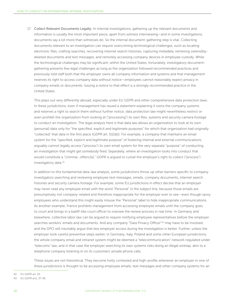17. Collect Relevant Documents Legally: In internal investigations, gathering up the relevant documents and information is usually the most important piece, apart from witness interviewing—and in some investigations, documents say a lot more than witnesses do. So the internal document-gathering step is vital. Collecting documents relevant to an investigation can require overcoming *technological* challenges, such as locating electronic files, crafting searches, recovering internet search histories, capturing metadata, retrieving ostensiblydeleted documents and text messages, and remotely accessing company devices in employee custody. While the technological challenges may be significant, within the United States, fortunately, investigatory documentgathering presents few *legal* challenges as long as the organization followed recommended practices and previously told staff both that the employer owns all company information and systems and that management reserves its right to access company data without notice—employees cannot reasonably expect privacy in company emails or documents. Issuing a notice to that effect is a strongly recommended practice in the United States.

This plays out very differently abroad, especially under EU GDPR and other comprehensive data protection laws. In these jurisdictions, even if management has issued a statement explaining it owns the company systems and reserves a right to search them without further notice, data protection law might nevertheless restrict or even prohibit the organization from looking at ("processing") its own files, systems and security camera footage to conduct an investigation. The legal analysis here is that data law allows an organization to look at its own (personal) data only for "the specified, explicit and legitimate purposes" for which that organization had originally "collected" that data in the first place (GDPR art. 5(1)(b)). For example, a company that maintains an email system for the "specified, explicit and legitimate purpose" of fostering internal and external communications arguably cannot legally access ("process") its own email system for the very separate "purpose" of conducting an investigation that might get somebody fired. Separately, where an investigation looks into conduct that would constitute a "criminal...offenc[e]," GDPR is argued to curtail the emplover's right to collect ("process") investigatory data.42

In addition to this fundamental data-law analysis, some jurisdictions throw up other barriers specific to company investigators searching and reviewing employee text messages, emails, company documents, internet search histories and security camera footage. For example, some EU jurisdictions in effect decree that an employer may never read any employee email with the word "Personal" in the subject line, because those emails are presumptively not company-related and therefore inappropriate for the employer ever to see—even though savvy employees who understand this might easily misuse the "Personal" label to hide inappropriate communications. As another example, France prohibits management from accessing employee emails until the company goes to court and brings in a bailiff-like court officer to oversee the review process in real time. In Germany and elsewhere, collective labor law can be argued to require notifying employee representatives before the employer searches workers' emails and documents. And any company "Data Privacy Officer"<sup>43</sup> may have to be involved, and the DPO will inevitably argue that less employer access during the investigation is better. Further, unless the employer took careful preventive steps earlier, in Germany, Italy, Poland and some other European jurisdictions, the whole company email and intranet system might be deemed a "telecommunication" network regulated under "telecoms" law, and in that case the employer searching its own systems risks doing an illegal wiretap, akin to a telephone company listening in on its customers' private phone calls.

These issues are not theoretical. They become hotly contested and high-profile whenever an employer in one of these jurisdictions is thought to be accessing employee emails, text messages and other company systems for an

42 EU GDPR art. 10.

<sup>43</sup> EU GDPR arts. 37-39.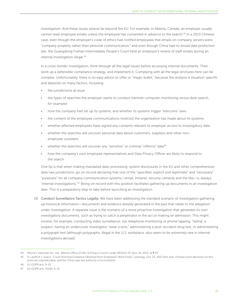investigation. And these issues extend far beyond the EU. For example, in Alberta, Canada, an employer usually cannot read employee emails unless the employee has consented in advance to the search.<sup>44</sup> In a 2013 Chinese case, even though the employer's code of ethics had notified employees that emails on company servers were "company property rather than personal communication," and even though China had no broad data protection law, the Guangdong Foshan Intermediate People's Court held an employer's review of staff emails during an internal investigation illegal.<sup>45</sup>

In a cross-border investigation, think through all the legal issues before accessing internal documents. Then work up a defensible compliance strategy, and implement it. Complying with all the legal strictures here can be complex. Unfortunately, there is no easy advice to offer or "magic bullet," because the analysis is situation-specific and depends on many factors, including:

- the jurisdictions at issue
- the types of searches the employer wants to conduct (remote computer monitoring versus desk search, for example)
- how the company had set up its systems, and whether its systems trigger "telecoms" laws
- the content of the employee communications (notices) the organization has made about its systems
- whether affected employees have signed any consents relevant to employer access to investigatory data
- whether the searches will uncover personal data about customers, suppliers and other nonemployee outsiders
- whether the searches will uncover any "sensitive" or criminal "offence" data<sup>46</sup>
- how the company's own employee representatives and Data Privacy Officer are likely to respond to the search

One tip is that when making mandated data-processing-system disclosures in the EU and other comprehensivedata-law jurisdictions, go on record declaring that one of the "specified, explicit and legitimate" and "necessary" "purposes" for all company communication systems—email, intranet, security cameras and the like—is, always, "internal investigations."47 Being on record with this position facilitates gathering up documents in an investigation later. This is a preparatory step to take before launching an investigation.

18. Conduct Surveillance Tactics Legally: We have been addressing the standard scenario of investigators gathering up historical information—documents and evidence already generated in the past that relate to the allegation under investigation. A separate issue is the scenario of a more proactive investigation that generates its own investigatory documents, such as trying to catch a perpetrator in the act or making an admission. This might involve, for example, conducting video surveillance, live telephone monitoring or phone tapping, "tailing" a suspect, having an undercover investigator "wear a wire," administering a post-accident drug test, or administering a polygraph test (although polygraphs, illegal in the U.S. workplace, also seem to be extremely rare in internal investigations abroad).

<sup>44</sup> *Moore's Industrial Svc. Ltd.*, Alberta Office of Info. & Privacy Comm'r order #P2013-07, Nov. 29, 2013, at ¶ 53.

<sup>45</sup> A. Lauffs & J. Isaacs, "Court Dismisses Evidence Obtained from Employee's Work Email," Lexology, Oct. 23, 2013 (this said, Chinese court decisions on this point are unpredictable, and the China case law authority is inconsistent).

<sup>46</sup> EU GDPR arts. 9-10.

<sup>47</sup> EU GDPR arts. 5(1)(b), 6, 12.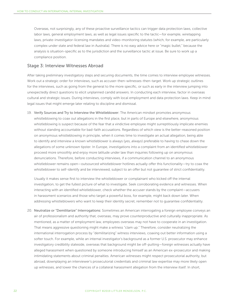Overseas, not surprisingly, any of these proactive surveillance tactics can trigger data protection laws, collective labor laws, general employment laws, as well as legal issues specific to the tactic—for example, wiretapping laws, private-investigator-licensing mandates and video-monitoring statutes (which, for example, are particularly complex under state and federal law in Australia). There is no easy advice here or "magic bullet," because the analysis is situation-specific as to the jurisdiction and the surveillance tactic at issue. Be sure to work up a compliance position.

#### Stage 3: Interview Witnesses Abroad

After taking preliminary investigatory steps and securing documents, the time comes to interview employee witnesses. Work out a strategic order for interviews, such as accuser-then-witnesses-then-target. Work up strategic outlines for the interviews, such as going from the general to the more specific, or such as early in the interview jumping into unexpectedly direct questions to elicit unplanned candid answers. In conducting each interview, factor in overseas cultural and strategic issues. During interviews, comply with local employment and data protection laws. Keep in mind legal issues that might emerge later relating to discipline and dismissal.

19. Verify Sources and Try to Interview the Whistleblower: The American mindset promotes anonymous whistleblowing to coax out allegations in the first place, but in parts of Europe and elsewhere, anonymous whistleblowing is suspect because of the fear that a vindictive employee might surreptitiously implicate enemies without standing accountable for bad-faith accusations. Regardless of which view is the better-reasoned position on anonymous whistleblowing in principle, when it comes time to investigate an actual allegation, being able to identify and interview a known whistleblower is always (yes, *always*) preferable to having to chase down the allegations of some unknown tipster. In Europe, investigations into a complaint from an identified whistleblower proceed more smoothly and enjoy more latitude under law than inquiries following up on anonymous denunciations. Therefore, before conducting interviews, if a communication channel to an anonymous whistleblower remains open—outsourced whistleblower hotlines actually offer this functionality—try to coax the whistleblower to self-identify and be interviewed, subject to an offer but not guarantee of strict confidentiality.

Usually it makes sense first to interview the whistleblower or complainant who kicked off the internal investigation, to get the fullest picture of what to investigate. Seek corroborating evidence and witnesses. When interacting with an identified whistleblower, check whether the accuser stands by the complaint—accusers in harassment scenarios and those who target a powerful boss, for example, might back down later. When addressing whistleblowers who want to keep their identity secret, remember not to guarantee confidentiality.

20. Neutralize or "Demilitarize" Interrogations: Sometimes an American interrogating a foreign employee conveys an air of professionalism and authority that, overseas, may prove counterproductive and culturally inappropriate. As mentioned, as a matter of employment law, employees overseas may not have to cooperate in an investigation. That means aggressive questioning might make a witness "clam up." Therefore, consider neutralizing the international interrogation process by "demilitarizing" witness interviews, coaxing out better information using a softer touch. For example, while an internal investigator's background as a former U.S. prosecutor may enhance investigatory credibility stateside, overseas that background might be off-putting—foreign witnesses actually have alleged harassment when questioned by someone introducing himself as an American ex-prosecutor and making intimidating statements about criminal penalties. American witnesses might respect prosecutorial authority, but abroad, downplaying an interviewer's prosecutorial credentials and criminal law expertise may more likely open up witnesses, and lower the chances of a collateral harassment allegation from the interview itself. In short,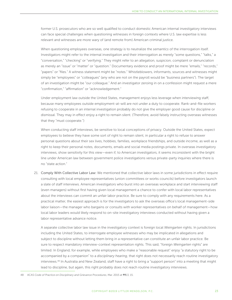former U.S. prosecutors who are so well qualified to conduct domestic American internal investigatory interviews can face special challenges when questioning witnesses in foreign contexts where U.S. law expertise is less relevant and witnesses are more wary of (and remote from) American criminal justice.

When questioning employees overseas, one strategy is to neutralize the *semantics* of the interrogation itself. Investigators might refer to the internal investigation and their interrogation as merely "some questions," "talks," a "conversation," "checking" or "verifying." They might refer to an allegation, suspicion, complaint or denunciation as merely an "issue" or "matter" or "question." Documentary evidence and proof might be mere "emails," "records," "papers" or "files." A witness statement might be "notes." Whistleblowers, informants, sources and witnesses might simply be "employees" or "colleagues" (any who are not on the payroll would be "business partners"). The target of an investigation might be "our colleague." And an investigator zeroing in on a confession might request a mere "confirmation," "affirmation" or "acknowledgement."

Under employment law outside the United States, management enjoys less leverage when interviewing staff, because many employees outside employment-at-will are not under a duty to cooperate. Rank-and-file workers refusing to cooperate in an internal investigation probably do not give the employer good cause for discipline or dismissal. They may in effect enjoy a right to remain silent. (Therefore, avoid falsely instructing overseas witnesses that they "must cooperate.")

When conducting staff interviews, be sensitive to local conceptions of privacy. Outside the United States, expect employees to believe they have some sort of right to remain silent, in particular a right to refuse to answer personal questions about their sex lives, hobbies, families, workplace friendships, and outside income, as well as a right to keep their personal notes, documents, emails and social media postings private. In overseas investigatory interviews, show sensitivity for this view—even if, to American investigators, it seems inconsistent with the bright line under American law between government police investigations versus private-party inquiries where there is no "state action."

21. Comply With Collective Labor Law: We mentioned that collective labor laws in some jurisdictions in effect require consulting with local employee representatives (union committees or works councils) before investigators launch a slate of staff interviews. American investigators who burst into an overseas workplace and start interviewing staff (even managers) without first having given local management a chance to confer with local labor representatives about the interviews can commit an unfair labor practice. Be sure to comply with any requirements here. As a practical matter, the easiest approach is for the investigators to ask the overseas office's local management-side labor liaison—the manager who bargains or consults with worker representatives on behalf of management—how local labor leaders would likely respond to on-site investigatory interviews conducted without having given a labor representative advance notice.

A separate collective labor law issue in the investigatory context is foreign local *Weingarten* rights. In jurisdictions including the United States, to interrogate employee witnesses who may be implicated in allegations and subject to discipline without letting them bring in a representative can constitute an unfair labor practice. Be sure to respect mandatory interview-context representation rights. This said, "foreign *Weingarten* rights" are limited. In England, for example, while employees who make a "reasonable request" enjoy "a statutory right to be accompanied by a companion" to a *disciplinary hearing*, that right does not necessarily reach routine investigatory interviews.48 In Australia and New Zealand, staff have a right to bring a "support person" into a meeting that might lead to discipline, but again, this right probably does not reach routine investigatory interviews.

48 ACAS *Code of Practice on Disciplinary and Grievance Procedures*, Mar. 2015 at ¶¶13, 15.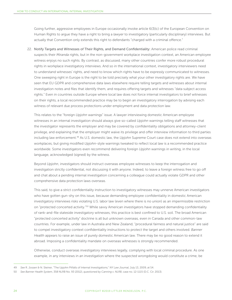Going further, aggressive employees in Europe occasionally invoke article 6(3)(c) of the European Convention on Human Rights to argue they have a right to bring a *lawyer* to investigatory (particularly disciplinary) interviews. But actually that Convention only extends this right to defendants "charged with a criminal offence."

22. Notify Targets and Witnesses of Their Rights, and Demand Confidentiality: American police read criminal suspects their *Miranda* rights, but in the non-government workplace investigation context, an American employee witness enjoys no such rights. By contrast, as discussed, many other countries confer more robust procedural rights in workplace investigatory interviews. And so in the international context, investigatory interviewers need to understand witnesses' rights, and need to know which rights have to be expressly communicated to witnesses. One sweeping right in Europe is the right to be told precisely what your other investigatory rights are. We have seen that EU GDPR and comprehensive data laws elsewhere require telling targets and witnesses about internal investigation notes and files that identify them, and requires offering targets and witnesses "data subject access rights." Even in countries outside Europe where local law does not force internal investigators to brief witnesses on their rights, a local recommended practice may be to begin an investigatory interrogation by advising each witness of relevant due process protections under employment and data protection law.

This relates to the "foreign *Upjohn* warnings" issue. A lawyer interviewing domestic American employee witnesses in an internal investigation should always give so-called *Upjohn* warnings telling staff witnesses that the investigator represents the employer and may be covered by confidentiality obligations and attorney-client privilege, and explaining that the employer might waive its privilege and offer interview information to third parties including law enforcement.49 As U.S. domestic law, the *Upjohn* Supreme Court case does not extend into overseas workplaces, but giving modified *Upjohn*-style warnings tweaked to reflect local law is a recommended practice worldwide. Some investigators even recommend delivering foreign *Upjohn* warnings in writing, in the local language, acknowledged (signed) by the witness.

Beyond *Upjohn*, investigators should instruct overseas employee witnesses to keep the interrogation and investigation strictly confidential, not discussing it with anyone. Indeed, to leave a foreign witness free to go off and chat about a pending internal investigation concerning a colleague could actually violate GDPR and other comprehensive data protection laws overseas.

This said, to give a strict confidentiality instruction to investigatory witnesses may unnerve American investigators who have gotten gun-shy on this issue, because demanding employee confidentiality in domestic American investigatory interviews risks violating U.S. labor law (even where there is no union) as an impermissible restriction on "protected concerted activity."<sup>50</sup> While savvy American investigators have stopped demanding confidentiality of rank-and-file stateside investigatory witnesses, this practice is best confined to U.S. soil. The broad American "protected concerted activity" doctrine is all but unknown overseas, even in Canada and other common-law countries. For example, under law in Australia and New Zealand, "procedural fairness and natural justice" are said to compel investigatory context confidentiality instructions to protect the target and others involved. *Banner Health* appears to raise an issue of purely domestic American law. There may be no good reason to extend it abroad. Imposing a confidentiality mandate on overseas witnesses is strongly recommended.

Otherwise, conduct overseas investigatory interviews legally, complying with local criminal procedure. As one example, in any interviews in an investigation where the suspected wrongdoing would constitute a crime, be

<sup>49</sup> *See* R. Jossen & N. Steiner, "The Upjohn Pitfalls of Internal Investigations;" *NY Law Journal*, July 13, 2009, at S4.

<sup>50</sup> *See Banner Health System*, 358 NLRB No. 93 (2012), *questioned by Canning v. NLRB*, case no. 12-1115 (D.C. Cir. 2013).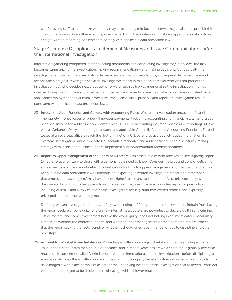careful asking staff to summarize what they may have already told local police—some jurisdictions prohibit this line of questioning. As another example, when recording witness interviews, first give appropriate data notices and get written recording consents that comply with applicable data protection law.

### Stage 4: Impose Discipline, Take Remedial Measures and Issue Communications *after* the International Investigation

Information gathering completed, after collecting documents and conducting investigatory interviews, the task becomes summarizing the investigation, making recommendations—and making decisions. Conceptually, the investigation ends when the investigators deliver a report or recommendations; subsequent decisions made and actions taken are *post-investigatory*. Often, investigators report in to a decisionmaker who was not part of the investigation, but who decides next steps going forward, such as how to memorialize the investigation findings, whether to impose discipline and whether to implement any remedial measures. Take those steps consistent with applicable employment and criminal procedure laws. Memorialize, preserve and report on investigation results consistent with applicable data protection laws.

- 23. Involve the Audit Function and Comply with Accounting Rules: Where an investigation uncovered financial impropriety, money losses or bribery/improper payments, tackle the accounting and financial-statement issues head-on. Involve the audit function. Comply with U.S. FCPA accounting (payment-disclosure-reporting) rules as well as Sarbanes-Oxley accounting mandates and applicable Generally Accepted Accounting Principles. Financial losses at an overseas affiliate reach the "bottom line" of a U.S. parent, so at a publicly traded multinational an overseas investigation might implicate U.S. securities mandates and auditing/accounting disclosures. Manage strategy with inside and outside auditors. Implement auditor/accountant recommendations.
- 24. Report to Upper Management or the Board of Directors: Limit the circle of who receives an investigatory report (whether oral or written) to those with a demonstrable need to know. Consider the pros and cons of delivering an oral versus a written report detailing investigation findings to upper management and the board of directors. Keep in mind data protection law restrictions on "exporting" a written investigation report, and remember that employee "data subjects" may have "access rights" to see any written report. Also, privilege analysis and discoverability in U.S. or other jurisdictions proceedings may weigh against a written report. In jurisdictions including Australia and New Zealand, some investigators actually draft two written reports, one expressly privileged and the other expressly not.

Draft any written investigation report carefully, with findings of fact grounded in the evidence. Refrain from having the report declare anyone guilty of a crime—internal investigators are powerless to declare guilt in any criminal justice system, and some investigators believe the word "guilty" does not belong in an investigator's vocabulary. Determine whether the context supports, and whether upper management or the board of directors expect, that the report stick to the facts found, or whether it should offer recommendations as to discipline and other next steps.

25. Account for Whistleblower Retaliation: Protecting whistleblowers against retaliation has been a high-profile issue in the United States for a couple of decades, and in recent years has drawn a sharp focus globally (overseas, retaliation is sometimes called "victimisation"). After an international internal investigation—before disciplining an employee who was the whistleblower—and before disciplining any target or witness who might plausibly claim to have lodged a workplace complaint as part of the underlying incident or the investigation that followed—consider whether an employee to be disciplined might allege whistleblower retaliation.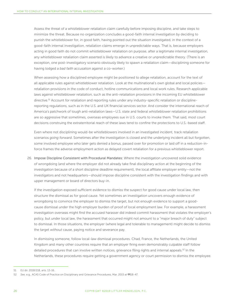Assess the threat of a whistleblower retaliation claim carefully before imposing discipline, and take steps to minimize the threat. Because no organization concludes a good-faith internal investigation by deciding to punish the whistleblower for, in good faith, having pointed out the situation investigated, in the context of a good-faith internal investigation, retaliation claims emerge in unpredictable ways. That is, because employers acting in good faith do not commit whistleblower retaliation on purpose, after a legitimate internal investigation, any whistleblower retaliation claim asserted is likely to advance a creative or unpredictable theory. (There is an exception, one post-investigatory scenario obviously likely to spawn a retaliation claim—disciplining someone for having lodged a *bad faith* accusation against a co-worker.)

When assessing how a disciplined employee might be positioned to allege retaliation, account for the text of all applicable rules against whistleblower retaliation. Look at the multinational's own global and local policiesretaliation provisions in the code of conduct, hotline communications and local work rules. Research applicable laws against whistleblower retaliation, such as the anti-retaliation provisions in the incoming EU whistleblower directive.51 Account for retaliation and reporting rules under any industry-specific retaliation or disciplinereporting regulations, such as in the U.S. and UK financial services sector. And consider the international reach of America's patchwork of tough anti-retaliation laws—U.S. state and federal whistleblower retaliation prohibitions are so aggressive that sometimes, overseas employees sue in U.S. courts to invoke them. That said, most court decisions construing the extraterritorial reach of these laws tend to confine the protections to U.S.-based staff.

Even where not disciplining would-be whistleblowers involved in an investigated incident, track retaliation scenarios *going forward*. Sometimes after the investigation is closed and the underlying incident all but forgotten, some involved employee who later gets denied a bonus, passed over for promotion or laid off in a reduction-inforce frames the adverse employment action as delayed covert retaliation for a previous whistleblower report.

26. Impose Discipline Consistent with Procedural Mandates: Where the investigation uncovered solid evidence of wrongdoing (and where the employer did not already take final disciplinary action at the beginning of the investigation because of a short discipline deadline requirement), the local affiliate employer entity—not the investigators and not headquarters—should impose discipline consistent with the investigation findings and with upper management or board of directors buy-in.

If the investigation exposed sufficient evidence to dismiss the suspect for good cause under local law, then structure the dismissal as for good cause. Yet sometimes an investigation uncovers enough evidence of wrongdoing to convince the employer to dismiss the target, but not enough evidence to support a goodcause dismissal under the high employer burden of proof of local employment law. For example, a harassment investigation overseas might find the accused harasser did indeed commit harassment that violates the employer's policy, but under local law, the harassment that occurred might not amount to a "major breach of duty" subject to dismissal. In those situations, the employer (where legal and tolerable to management) might decide to dismiss the target *without* cause, paying notice and severance pay.

In dismissing someone, follow local-law dismissal procedures. Chad, France, the Netherlands, the United Kingdom and many other countries require that an employer firing even demonstrably culpable staff follow detailed procedures that can involve written notices, grievance filing rights and internal appeals.<sup>52</sup> In the Netherlands, these procedures require getting a government agency or court permission to dismiss the employee.

<sup>51</sup> EU dir. 2018/218, arts. 13-16.

<sup>52</sup> *See,* e.g., ACAS Code of Practice on Disciplinary and Grievance Procedures, Mar. 2015 at ¶¶18-47.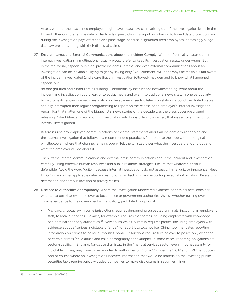Assess whether the disciplined employee might have a data-law claim arising out of the investigation itself. In the EU and other comprehensive data protection law jurisdictions, scrupulously having followed data protection law during the investigation pays off at the discipline stage, because disgruntled fired employees increasingly allege data law breaches along with their dismissal claims.

27. Ensure Internal and External Communications about the Incident Comply: With confidentiality paramount in internal investigations, a multinational usually would prefer to keep its investigation results under wraps. But in the real world, especially in high-profile incidents, internal and even external communications about an investigation can be inevitable. Trying to get by saying only "No Comment" will not always be feasible. Staff aware of the incident investigated (and aware that an investigation followed) may demand to know what happened, especially if

no one got fired and rumors are circulating. Confidentiality instructions notwithstanding, word about the incident and investigation could leak onto social media and over into traditional news sites. In one particularly high-profile American internal investigation in the academic sector, television stations around the United States actually interrupted their regular programming to report on the release of an employer's internal investigation report. For that matter, one of the biggest U.S. news stories of the decade was the press coverage around releasing Robert Mueller's report of his investigation into Donald Trump (granted, that was a government, not internal, investigation).

Before issuing any employee communications or external statements about an incident of wrongdoing and the internal investigation that followed, a recommended practice is first to close the loop with the original whistleblower (where that channel remains open). Tell the whistleblower what the investigators found out and what the employer will do about it.

Then, frame internal communications and external press communications about the incident and investigation carefully, using effective human resources and public relations strategies. Ensure that whatever is said is defensible. Avoid the word "guilty," because internal investigations do not assess criminal guilt or innocence. Heed EU GDPR and other applicable data-law restrictions on disclosing and exporting personal information. Be alert to defamation and tortious invasion of privacy claims.

- 28. Disclose to Authorities Appropriately: Where the investigation uncovered evidence of criminal acts, consider whether to turn that evidence over to local police or government authorities. Assess whether turning over criminal evidence to the government is mandatory, prohibited or optional.
	- *Mandatory:* Local law in some jurisdictions requires denouncing suspected criminals, including an employer's staff, to local authorities. Slovakia, for example, requires that parties including employers with knowledge of a criminal act notify authorities.<sup>53</sup> New South Wales, Australia requires parties, including employers with evidence about a "serious indictable offence," to report it to local police. China, too, mandates reporting information on crimes to police authorities. Some jurisdictions require turning over to police only evidence of certain crimes (child abuse and child pornography, for example). In some cases, reporting obligations are sector-specific; in England, for-cause dismissals in the financial services sector, even if not necessarily for indictable crimes, may have to be reported to authorities on "Form C" under the "FCA" and "RPA" handbooks. And of course where an investigation uncovers information that would be material to the investing public, securities laws require publicly-traded companies to make disclosures in securities filings.

<sup>53</sup> Slovak Crim. Code no. 300/2006.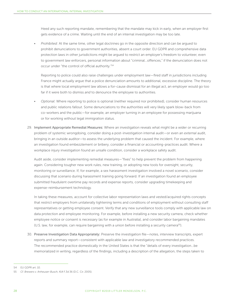Heed any such reporting mandate, remembering that the mandate may kick in early, when an employer first gets evidence of a crime. Waiting until the end of an internal investigation may be too late.

• *Prohibited:* At the same time, other legal doctrines go in the opposite direction and can be argued to prohibit denunciations to government authorities, absent a court order. EU GDPR and comprehensive data protection laws in other jurisdictions might be argued to restrict an employer's freedom to volunteer, even to government law enforcers, personal information about "criminal...offences," if the denunciation does not occur under "the control of official authority."54

Reporting to police could also raise challenges under employment law—fired staff in jurisdictions including France might actually argue that a police denunciation amounts to additional, excessive discipline. The theory is that where local employment law allows a for-cause dismissal for an illegal act, an employer would go too far if it were both to dismiss *and* to denounce the employee to authorities.

- *Optional:* Where reporting to police is optional (neither required nor prohibited), consider human resources and public relations fallout. Some denunciations to the authorities will very likely spark blow-back from co-workers and the public—for example, an employer turning in an employee for possessing marijuana or for working without legal immigration status.
- 29. Implement Appropriate Remedial Measures: Where an investigation reveals what might be a wider or recurring problem of systemic wrongdoing, consider doing a post-investigation internal audit—or even an *external* audit, bringing in an outside auditor—to assess the underlying problem that caused the incident. For example, where an investigation found embezzlement or bribery, consider a financial or accounting-practices audit. Where a workplace injury investigation found an unsafe condition, consider a workplace safety audit.

Audit aside, consider implementing remedial measures—"fixes" to help prevent the problem from happening again. Considering tougher new work rules, new training, or adopting new tools for oversight, security, monitoring or surveillance. If, for example, a sex harassment investigation involved a novel scenario, consider discussing that scenario during harassment training going forward. If an investigation found an employee submitted fraudulent overtime pay records and expense reports, consider upgrading timekeeping and expense-reimbursement technology.

In taking these measures, account for collective labor representation laws and vested/acquired rights concepts that restrict employers from unilaterally tightening terms and conditions of employment without consulting staff representatives or getting employee consent. Verify that any new surveillance tools comply with applicable law on data protection and employee monitoring. For example, before installing a new security camera, check whether employee notice or consent is necessary (as for example in Australia), and consider labor bargaining mandates (U.S. law, for example, can require bargaining with a union before installing a security camera<sup>55)</sup>.

30. Preserve Investigation Data Appropriately: Preserve the investigation file—notes, interview transcripts, expert reports and summary report—consistent with applicable law and investigatory recommended practices. The recommended practice domestically in the United States is that the "details of every investigation…be memorialized in writing, regardless of the findings, including a description of the allegation, the steps taken to

<sup>54</sup> EU GDPR art. 10.

<sup>55</sup> *Cf. Brewers v. Anheuser-Busch*, 414 F.3d 36 (D.C. Cir. 2005).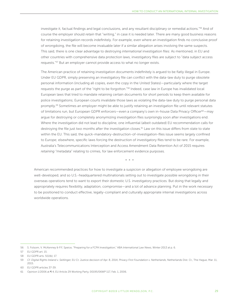investigate it, factual findings and legal conclusions, and any resultant disciplinary or remedial actions."56 And of course the employer should *retain* that "writing," in case it is needed later. There are many good business reasons for retaining investigation records indefinitely. For example, even where an investigation finds no conclusive proof of wrongdoing, the file will become invaluable later if a similar allegation arises involving the same suspects. This said, there is one clear advantage to destroying *international* investigation files: As mentioned, in EU and other countries with comprehensive data protection laws, investigatory files are subject to "data subject access requests."57 But an employer cannot provide access to what no longer exists.

The American practice of retaining investigation documents indefinitely is argued to be flatly illegal in Europe. Under EU GDPR, simply preserving an investigatory file can conflict with the data-law duty to purge obsolete personal information (including all copies, even the copy in the United States)—particularly where the target requests the purge as part of the "right to be forgotton."58 Indeed, case law in Europe has invalidated local European laws that tried to mandate retaining certain documents for short periods to keep them available for police investigations; European courts invalidate those laws as violating the data-law duty to purge personal data promptly.<sup>59</sup> Sometimes an employer might be able to justify retaining an investigation file until relevant statutes of limitations run, but European GDPR enforcers—even a company's own in-house Data Privacy Officer<sup>60</sup>—may argue for destroying or completely anonymizing investigation files surprisingly soon after investigations end. Where the investigation did not lead to discipline, one influential (albeit outdated) EU recommendation calls for destroying the file just *two months* after the investigation closes.<sup>61</sup> Law on this issue differs from state to state within the EU. This said, the quick-mandatory-destruction-of-investigation-files issue seems largely confined to Europe; elsewhere, specific laws forcing the destruction of investigatory files tend to be rare. For example, Australia's Telecommunications Interception and Access Amendment Data Retention Act of 2015 requires *retaining* "metadata" relating to crimes, for law enforcement evidence purposes.

\* \* \*

American recommended practices for how to investigate a suspicion or allegation of employee wrongdoing are well-developed, and so U.S.-headquartered multinationals setting out to investigate possible wrongdoing in their overseas operations tend to want to export their domestic U.S. investigatory practices. But doing that legally and appropriately requires flexibility, adaptation, compromise—and a lot of advance planning. Put in the work necessary to be positioned to conduct effective, legally-compliant and culturally appropriate internal investigations across worldwide operations.

<sup>56</sup> S. Folsom, V. McKenney & P.F, Speice, "Preparing for a FCPA Investigation," ABA *International Law News*, Winter 2013 at p. 6.

<sup>57</sup> EU GDPR art. 15.

<sup>58</sup> EU GDPR arts. 5(1)(b); 17.

<sup>59</sup> *Cf. Digital Rights Ireland v. Seitlinger*, EU Ct. Justice decision of Apr. 8, 2014; *Privacy First Foundation v. Netherlands*, Netherlands Dist. Ct., The Hague, Mar. 11, 2015.

<sup>60</sup> EU GDPR articles 37-39.

<sup>61</sup> Opinion 1/2006 at ¶ 4, EU Article 29 Working Party, 00195/06WP 117, Feb. 1, 2006.